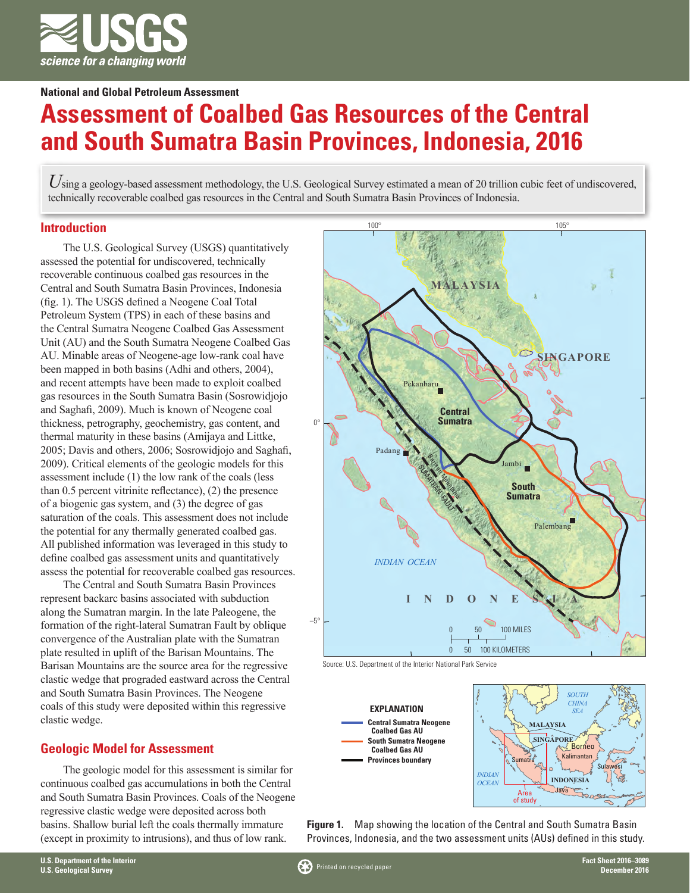

**National and Global Petroleum Assessment**

# **Assessment of Coalbed Gas Resources of the Central and South Sumatra Basin Provinces, Indonesia, 2016**

Using a geology-based assessment methodology, the U.S. Geological Survey estimated a mean of 20 trillion cubic feet of undiscovered, technically recoverable coalbed gas resources in the Central and South Sumatra Basin Provinces of Indonesia.

### **Introduction**

The U.S. Geological Survey (USGS) quantitatively assessed the potential for undiscovered, technically recoverable continuous coalbed gas resources in the Central and South Sumatra Basin Provinces, Indonesia (fig. 1). The USGS defined a Neogene Coal Total Petroleum System (TPS) in each of these basins and the Central Sumatra Neogene Coalbed Gas Assessment Unit (AU) and the South Sumatra Neogene Coalbed Gas AU. Minable areas of Neogene-age low-rank coal have been mapped in both basins (Adhi and others, 2004), and recent attempts have been made to exploit coalbed gas resources in the South Sumatra Basin (Sosrowidjojo and Saghafi, 2009). Much is known of Neogene coal thickness, petrography, geochemistry, gas content, and thermal maturity in these basins (Amijaya and Littke, 2005; Davis and others, 2006; Sosrowidjojo and Saghafi, 2009). Critical elements of the geologic models for this assessment include (1) the low rank of the coals (less than 0.5 percent vitrinite reflectance), (2) the presence of a biogenic gas system, and (3) the degree of gas saturation of the coals. This assessment does not include the potential for any thermally generated coalbed gas. All published information was leveraged in this study to define coalbed gas assessment units and quantitatively assess the potential for recoverable coalbed gas resources.

The Central and South Sumatra Basin Provinces represent backarc basins associated with subduction along the Sumatran margin. In the late Paleogene, the formation of the right-lateral Sumatran Fault by oblique convergence of the Australian plate with the Sumatran plate resulted in uplift of the Barisan Mountains. The Barisan Mountains are the source area for the regressive clastic wedge that prograded eastward across the Central and South Sumatra Basin Provinces. The Neogene coals of this study were deposited within this regressive clastic wedge.

# **Geologic Model for Assessment**

The geologic model for this assessment is similar for continuous coalbed gas accumulations in both the Central and South Sumatra Basin Provinces. Coals of the Neogene regressive clastic wedge were deposited across both basins. Shallow burial left the coals thermally immature (except in proximity to intrusions), and thus of low rank.







**Figure 1.** Map showing the location of the Central and South Sumatra Basin Provinces, Indonesia, and the two assessment units (AUs) defined in this study.